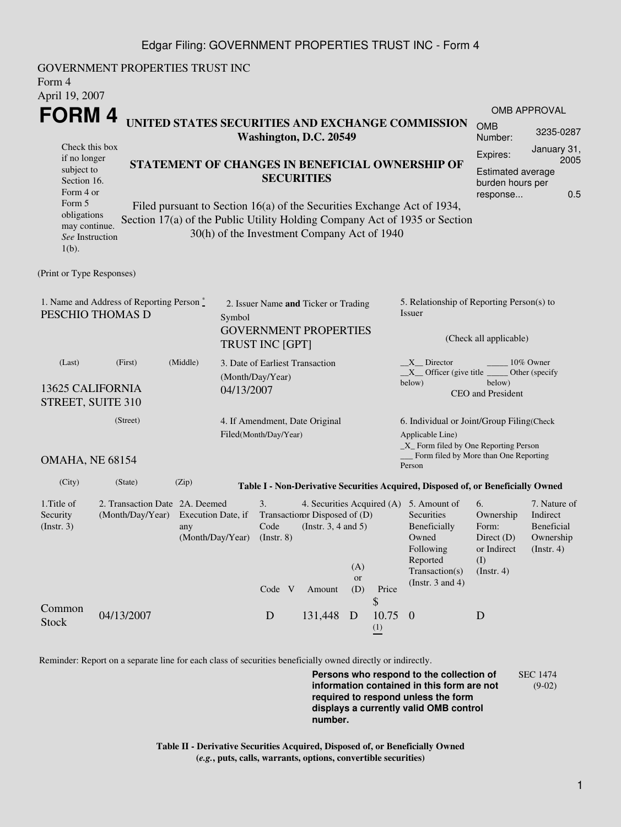## Edgar Filing: GOVERNMENT PROPERTIES TRUST INC - Form 4

| Form 4<br>April 19, 2007                                                             | GOVERNMENT PROPERTIES TRUST INC                                       |                                                                                                                                                                                                      |                   |                                                         |                                                                   |                                                                          |                                |                                                                                                                                                    |                                                                                    |                                                                         |  |
|--------------------------------------------------------------------------------------|-----------------------------------------------------------------------|------------------------------------------------------------------------------------------------------------------------------------------------------------------------------------------------------|-------------------|---------------------------------------------------------|-------------------------------------------------------------------|--------------------------------------------------------------------------|--------------------------------|----------------------------------------------------------------------------------------------------------------------------------------------------|------------------------------------------------------------------------------------|-------------------------------------------------------------------------|--|
|                                                                                      |                                                                       |                                                                                                                                                                                                      |                   |                                                         |                                                                   |                                                                          |                                |                                                                                                                                                    |                                                                                    | OMB APPROVAL                                                            |  |
| <b>FORM4</b>                                                                         |                                                                       | UNITED STATES SECURITIES AND EXCHANGE COMMISSION<br>Washington, D.C. 20549                                                                                                                           |                   |                                                         |                                                                   |                                                                          |                                |                                                                                                                                                    | <b>OMB</b><br>Number:                                                              | 3235-0287                                                               |  |
| Check this box<br>if no longer<br>subject to<br>Section 16.<br>Form 4 or             |                                                                       |                                                                                                                                                                                                      | <b>SECURITIES</b> |                                                         | STATEMENT OF CHANGES IN BENEFICIAL OWNERSHIP OF                   | January 31,<br>Expires:<br>2005<br>Estimated average<br>burden hours per |                                |                                                                                                                                                    |                                                                                    |                                                                         |  |
| Form 5<br>obligations<br>may continue.<br>See Instruction<br>$1(b)$ .                |                                                                       | Filed pursuant to Section 16(a) of the Securities Exchange Act of 1934,<br>Section 17(a) of the Public Utility Holding Company Act of 1935 or Section<br>30(h) of the Investment Company Act of 1940 |                   |                                                         |                                                                   |                                                                          |                                |                                                                                                                                                    | response                                                                           | 0.5                                                                     |  |
| (Print or Type Responses)                                                            |                                                                       |                                                                                                                                                                                                      |                   |                                                         |                                                                   |                                                                          |                                |                                                                                                                                                    |                                                                                    |                                                                         |  |
| 1. Name and Address of Reporting Person*<br>PESCHIO THOMAS D<br>Symbol               |                                                                       |                                                                                                                                                                                                      |                   | 2. Issuer Name and Ticker or Trading                    |                                                                   |                                                                          |                                | 5. Relationship of Reporting Person(s) to<br>Issuer                                                                                                |                                                                                    |                                                                         |  |
|                                                                                      |                                                                       |                                                                                                                                                                                                      |                   | <b>GOVERNMENT PROPERTIES</b><br><b>TRUST INC [GPT]</b>  |                                                                   |                                                                          |                                | (Check all applicable)                                                                                                                             |                                                                                    |                                                                         |  |
| (Middle)<br>(Last)<br>(First)<br>13625 CALIFORNIA<br>04/13/2007<br>STREET, SUITE 310 |                                                                       |                                                                                                                                                                                                      |                   | 3. Date of Earliest Transaction<br>(Month/Day/Year)     |                                                                   |                                                                          |                                | 10% Owner<br>X Director<br>$X$ Officer (give title $\frac{X}{X}$<br>Other (specify<br>below)<br>below)<br>CEO and President                        |                                                                                    |                                                                         |  |
|                                                                                      | (Street)                                                              |                                                                                                                                                                                                      |                   | 4. If Amendment, Date Original<br>Filed(Month/Day/Year) |                                                                   |                                                                          |                                | 6. Individual or Joint/Group Filing(Check<br>Applicable Line)<br>_X_ Form filed by One Reporting Person                                            |                                                                                    |                                                                         |  |
| <b>OMAHA, NE 68154</b>                                                               |                                                                       |                                                                                                                                                                                                      |                   |                                                         |                                                                   |                                                                          |                                | __ Form filed by More than One Reporting<br>Person                                                                                                 |                                                                                    |                                                                         |  |
| (City)                                                                               | (State)                                                               | (Zip)                                                                                                                                                                                                |                   |                                                         |                                                                   |                                                                          |                                | Table I - Non-Derivative Securities Acquired, Disposed of, or Beneficially Owned                                                                   |                                                                                    |                                                                         |  |
| 1. Title of<br>Security<br>(Insert. 3)                                               | 2. Transaction Date 2A. Deemed<br>(Month/Day/Year) Execution Date, if | any<br>(Month/Day/Year)                                                                                                                                                                              |                   | 3.<br>Code<br>(Instr. 8)<br>Code V                      | Transaction Disposed of (D)<br>(Instr. $3, 4$ and $5$ )<br>Amount | (A)<br><b>or</b><br>(D)                                                  | Price                          | 4. Securities Acquired (A) 5. Amount of<br>Securities<br>Beneficially<br>Owned<br>Following<br>Reported<br>Transaction(s)<br>(Instr. $3$ and $4$ ) | 6.<br>Ownership<br>Form:<br>Direct $(D)$<br>or Indirect<br>(I)<br>$($ Instr. 4 $)$ | 7. Nature of<br>Indirect<br>Beneficial<br>Ownership<br>$($ Instr. 4 $)$ |  |
| Common<br><b>Stock</b>                                                               | 04/13/2007                                                            |                                                                                                                                                                                                      |                   | D                                                       | 131,448                                                           | D                                                                        | \$<br>10.75<br>$\frac{(1)}{2}$ | $\boldsymbol{0}$                                                                                                                                   | D                                                                                  |                                                                         |  |

Reminder: Report on a separate line for each class of securities beneficially owned directly or indirectly.

**Persons who respond to the collection of information contained in this form are not required to respond unless the form displays a currently valid OMB control number.** SEC 1474 (9-02)

**Table II - Derivative Securities Acquired, Disposed of, or Beneficially Owned (***e.g.***, puts, calls, warrants, options, convertible securities)**